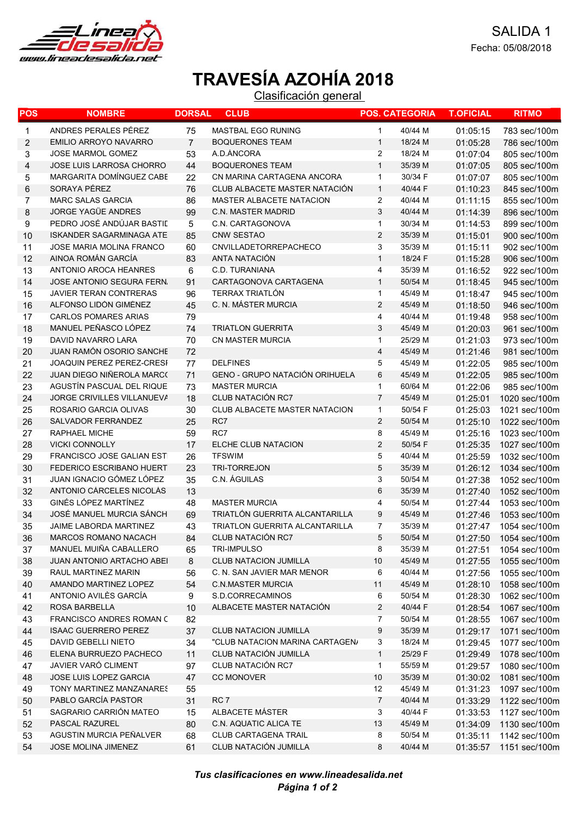

## TRAVESÍA AZOHÍA 2018

Clasificación general

| POS          | <b>NOMBRE</b>                    | <b>DORSAL</b>  | <b>CLUB</b>                           |                         | <b>POS. CATEGORIA</b> | <b>T.OFICIAL</b> | <b>RITMO</b>  |
|--------------|----------------------------------|----------------|---------------------------------------|-------------------------|-----------------------|------------------|---------------|
| $\mathbf{1}$ | ANDRES PERALES PÉREZ             | 75             | MASTBAL EGO RUNING                    | 1                       | 40/44 M               | 01:05:15         | 783 sec/100m  |
| 2            | <b>EMILIO ARROYO NAVARRO</b>     | $\overline{7}$ | <b>BOQUERONES TEAM</b>                | $\mathbf 1$             | 18/24 M               | 01:05:28         | 786 sec/100m  |
| 3            | <b>JOSE MARMOL GOMEZ</b>         | 53             | A.D.ÁNCORA                            | $\overline{2}$          | 18/24 M               | 01:07:04         | 805 sec/100m  |
| 4            | JOSE LUIS LARROSA CHORRO         | 44             | <b>BOQUERONES TEAM</b>                | $\mathbf{1}$            | 35/39 M               | 01:07:05         | 805 sec/100m  |
| 5            | <b>MARGARITA DOMINGUEZ CABE</b>  | 22             | CN MARINA CARTAGENA ANCORA            | $\mathbf{1}$            | 30/34 F               | 01:07:07         | 805 sec/100m  |
| 6            | SORAYA PÉREZ                     | 76             | <b>CLUB ALBACETE MASTER NATACIÓN</b>  | $\mathbf{1}$            | 40/44 F               | 01:10:23         | 845 sec/100m  |
| 7            | <b>MARC SALAS GARCIA</b>         | 86             | <b>MASTER ALBACETE NATACION</b>       | 2                       | 40/44 M               | 01:11:15         | 855 sec/100m  |
| 8            | <b>JORGE YAGÜE ANDRES</b>        | 99             | <b>C.N. MASTER MADRID</b>             | 3                       | 40/44 M               | 01:14:39         | 896 sec/100m  |
| 9            | PEDRO JOSÉ ANDÚJAR BASTIL        | 5              | C.N. CARTAGONOVA                      | 1                       | 30/34 M               | 01:14:53         | 899 sec/100m  |
| 10           | <b>ISKANDER SAGARMINAGA ATE</b>  | 85             | CNW SESTAO                            | $\boldsymbol{2}$        | 35/39 M               | 01:15:01         | 900 sec/100m  |
| 11           | JOSE MARIA MOLINA FRANCO         | 60             | CNVILLADETORREPACHECO                 | 3                       | 35/39 M               | 01:15:11         | 902 sec/100m  |
| 12           | AINOA ROMÁN GARCÍA               | 83             | <b>ANTA NATACIÓN</b>                  | $\mathbf{1}$            | 18/24 F               | 01:15:28         | 906 sec/100m  |
| 13           | ANTONIO AROCA HEANRES            | 6              | C.D. TURANIANA                        | 4                       | 35/39 M               | 01:16:52         | 922 sec/100m  |
| 14           | JOSE ANTONIO SEGURA FERN.        | 91             | CARTAGONOVA CARTAGENA                 | $\mathbf{1}$            | 50/54 M               | 01:18:45         | 945 sec/100m  |
| 15           | <b>JAVIER TERAN CONTRERAS</b>    | 96             | <b>TERRAX TRIATLÓN</b>                | 1                       | 45/49 M               | 01:18:47         | 945 sec/100m  |
| 16           | ALFONSO LIDÓN GIMÉNEZ            | 45             | C. N. MÁSTER MURCIA                   | $\overline{c}$          | 45/49 M               | 01:18:50         | 946 sec/100m  |
| 17           | <b>CARLOS POMARES ARIAS</b>      | 79             |                                       | 4                       | 40/44 M               | 01:19:48         | 958 sec/100m  |
| 18           | MANUEL PEÑASCO LÓPEZ             | 74             | <b>TRIATLON GUERRITA</b>              | 3                       | 45/49 M               | 01:20:03         | 961 sec/100m  |
| 19           | <b>DAVID NAVARRO LARA</b>        | 70             | <b>CN MASTER MURCIA</b>               | 1                       | 25/29 M               | 01:21:03         | 973 sec/100m  |
| 20           | <b>JUAN RAMÓN OSORIO SANCHE</b>  | 72             |                                       | 4                       | 45/49 M               | 01:21:46         | 981 sec/100m  |
| 21           | JOAQUIN PEREZ PEREZ-CRESI        | 77             | <b>DELFINES</b>                       | 5                       | 45/49 M               | 01:22:05         | 985 sec/100m  |
| 22           | <b>JUAN DIEGO NIÑEROLA MARC(</b> | 71             | <b>GENO - GRUPO NATACIÓN ORIHUELA</b> | 6                       | 45/49 M               | 01:22:05         | 985 sec/100m  |
| 23           | AGUSTÍN PASCUAL DEL RIQUE        | 73             | <b>MASTER MURCIA</b>                  | $\mathbf{1}$            | 60/64 M               | 01:22:06         | 985 sec/100m  |
| 24           | JORGE CRIVILLÉS VILLANUEVA       | 18             | CLUB NATACIÓN RC7                     | $\overline{7}$          | 45/49 M               | 01:25:01         | 1020 sec/100m |
| 25           | ROSARIO GARCIA OLIVAS            | 30             | CLUB ALBACETE MASTER NATACION         | 1                       | 50/54 F               | 01:25:03         | 1021 sec/100m |
| 26           | SALVADOR FERRANDEZ               | 25             | RC7                                   | $\overline{c}$          | 50/54 M               | 01:25:10         | 1022 sec/100m |
| 27           | RAPHAEL MICHE                    | 59             | RC7                                   | 8                       | 45/49 M               | 01:25:16         | 1023 sec/100m |
| 28           | <b>VICKI CONNOLLY</b>            | 17             | ELCHE CLUB NATACION                   | $\overline{c}$          | 50/54 F               | 01:25:35         | 1027 sec/100m |
| 29           | FRANCISCO JOSE GALIAN EST        | 26             | <b>TFSWIM</b>                         | 5                       | 40/44 M               | 01:25:59         | 1032 sec/100m |
| 30           | <b>FEDERICO ESCRIBANO HUERT</b>  | 23             | <b>TRI-TORREJON</b>                   | $\mathbf 5$             | 35/39 M               | 01:26:12         | 1034 sec/100m |
| 31           | JUAN IGNACIO GÓMEZ LÓPEZ         | 35             | C.N. ÁGUILAS                          | 3                       | 50/54 M               | 01:27:38         | 1052 sec/100m |
| 32           | ANTONIO CÁRCELES NICOLÁS         | 13             |                                       | 6                       | 35/39 M               | 01:27:40         | 1052 sec/100m |
| 33           | GINÉS LÓPEZ MARTÍNEZ             | 48             | <b>MASTER MURCIA</b>                  | 4                       | 50/54 M               | 01:27:44         | 1053 sec/100m |
| 34           | JOSÉ MANUEL MURCIA SÁNCH         | 69             | TRIATLÓN GUERRITA ALCANTARILLA        | 9                       | 45/49 M               | 01:27:46         | 1053 sec/100m |
| 35           | JAIME LABORDA MARTINEZ           | 43             | TRIATLON GUERRITA ALCANTARILLA        | 7                       | 35/39 M               | 01:27:47         | 1054 sec/100m |
| 36           | <b>MARCOS ROMANO NACACH</b>      | 84             | <b>CLUB NATACIÓN RC7</b>              | 5                       | 50/54 M               | 01:27:50         | 1054 sec/100m |
| 37           | MANUEL MUIÑA CABALLERO           | 65             | TRI-IMPULSO                           | 8                       | 35/39 M               | 01:27:51         | 1054 sec/100m |
| 38           | JUAN ANTONIO ARTACHO ABEI        | 8              | <b>CLUB NATACION JUMILLA</b>          | 10                      | 45/49 M               | 01:27:55         | 1055 sec/100m |
| 39           | RAUL MARTINEZ MARIN              | 56             | C. N. SAN JAVIER MAR MENOR            | 6                       | 40/44 M               | 01:27:56         | 1055 sec/100m |
| 40           | AMANDO MARTINEZ LOPEZ            | 54             | <b>C.N.MASTER MURCIA</b>              | 11                      | 45/49 M               | 01:28:10         | 1058 sec/100m |
| 41           | ANTONIO AVILÈS GARCÍA            | 9              | S.D.CORRECAMINOS                      | 6                       | 50/54 M               | 01:28:30         | 1062 sec/100m |
| 42           | ROSA BARBELLA                    | 10             | ALBACETE MASTER NATACIÓN              | $\overline{\mathbf{c}}$ | 40/44 F               | 01:28:54         | 1067 sec/100m |
| 43           | FRANCISCO ANDRES ROMAN C         | 82             |                                       | 7                       | 50/54 M               | 01:28:55         | 1067 sec/100m |
| 44           | <b>ISAAC GUERRERO PEREZ</b>      | 37             | <b>CLUB NATACION JUMILLA</b>          | 9                       | 35/39 M               | 01:29:17         | 1071 sec/100m |
| 45           | DAVID GEBELLI NIETO              | 34             | "CLUB NATACION MARINA CARTAGEN/       | 3                       | 18/24 M               | 01:29:45         | 1077 sec/100m |
| 46           | ELENA BURRUEZO PACHECO           | 11             | CLUB NATACIÓN JUMILLA                 | $\mathbf{1}$            | 25/29 F               | 01:29:49         | 1078 sec/100m |
| 47           | JAVIER VARÓ CLIMENT              | 97             | CLUB NATACIÓN RC7                     | $\mathbf{1}$            | 55/59 M               | 01:29:57         | 1080 sec/100m |
| 48           | JOSE LUIS LOPEZ GARCIA           | 47             | <b>CC MONOVER</b>                     | 10                      | 35/39 M               | 01:30:02         | 1081 sec/100m |
| 49           | TONY MARTINEZ MANZANARES         | 55             |                                       | 12                      | 45/49 M               | 01:31:23         | 1097 sec/100m |
| 50           | PABLO GARCÍA PASTOR              | 31             | RC 7                                  | $\overline{7}$          | 40/44 M               | 01:33:29         | 1122 sec/100m |
| 51           | SAGRARIO CARRIÓN MATEO           | 15             | ALBACETE MÁSTER                       | 3                       | 40/44 F               | 01:33:53         | 1127 sec/100m |
| 52           | PASCAL RAZUREL                   | 80             | C.N. AQUATIC ALICA TE                 | 13                      | 45/49 M               | 01:34:09         | 1130 sec/100m |
| 53           | AGUSTIN MURCIA PEÑALVER          | 68             | CLUB CARTAGENA TRAIL                  | 8                       | 50/54 M               | 01:35:11         | 1142 sec/100m |
| 54           | JOSE MOLINA JIMENEZ              | 61             | CLUB NATACIÓN JUMILLA                 | 8                       | 40/44 M               | 01:35:57         | 1151 sec/100m |